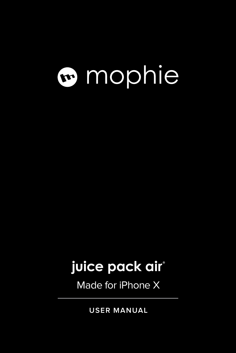# mophie

### **juice pack air ®**

Made for iPhone X

**USER MANUAL**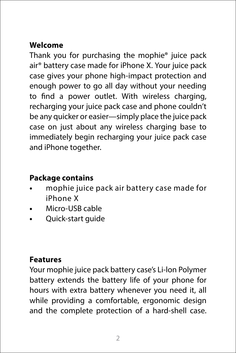#### **Welcome**

Thank you for purchasing the mophie® juice pack air® battery case made for iPhone X. Your juice pack case gives your phone high-impact protection and enough power to go all day without your needing to find a power outlet. With wireless charging, recharging your juice pack case and phone couldn't be any quicker or easier—simply place the juice pack case on just about any wireless charging base to immediately begin recharging your juice pack case and iPhone together.

#### **Package contains**

- **•** mophie juice pack air battery case made for iPhone X
- **•** Micro-USB cable
- **•** Quick-start guide

#### **Features**

Your mophie juice pack battery case's Li-lon Polymer battery extends the battery life of your phone for hours with extra battery whenever you need it, all while providing a comfortable, ergonomic design and the complete protection of a hard-shell case.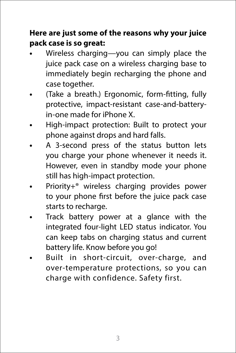#### **Here are just some of the reasons why your juice pack case is so great:**

- **•** Wireless charging—you can simply place the juice pack case on a wireless charging base to immediately begin recharging the phone and case together.
- **•** (Take a breath.) Ergonomic, form-fitting, fully protective, impact-resistant case-and-batteryin-one made for iPhone X.
- **•** High-impact protection: Built to protect your phone against drops and hard falls.
- **•** A 3-second press of the status button lets you charge your phone whenever it needs it. However, even in standby mode your phone still has high-impact protection.
- **•** Priority+® wireless charging provides power to your phone first before the juice pack case starts to recharge.
- **•** Track battery power at a glance with the integrated four-light LED status indicator. You can keep tabs on charging status and current battery life. Know before you go!
- **•** Built in short-circuit, over-charge, and over-temperature protections, so you can charge with confidence. Safety first.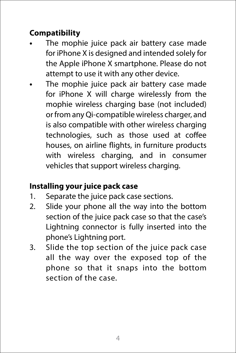#### **Compatibility**

- **•** The mophie juice pack air battery case made for iPhone X is designed and intended solely for the Apple iPhone X smartphone. Please do not attempt to use it with any other device.
- **•** The mophie juice pack air battery case made for iPhone X will charge wirelessly from the mophie wireless charging base (not included) or from any Qi-compatible wireless charger, and is also compatible with other wireless charging technologies, such as those used at coffee houses, on airline flights, in furniture products with wireless charging, and in consumer vehicles that support wireless charging.

#### **Installing your juice pack case**

- 1. Separate the juice pack case sections.
- 2. Slide your phone all the way into the bottom section of the juice pack case so that the case's Lightning connector is fully inserted into the phone's Lightning port.
- 3. Slide the top section of the juice pack case all the way over the exposed top of the phone so that it snaps into the bottom section of the case.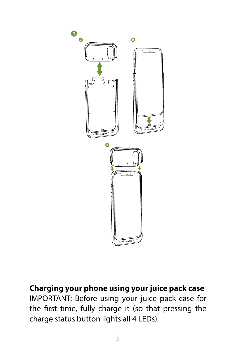

**Charging your phone using your juice pack case** IMPORTANT: Before using your juice pack case for the first time, fully charge it (so that pressing the charge status button lights all 4 LEDs).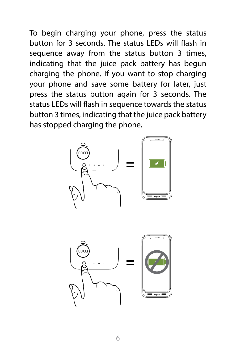To begin charging your phone, press the status button for 3 seconds. The status LEDs will flash in sequence away from the status button 3 times, indicating that the juice pack battery has begun charging the phone. If you want to stop charging your phone and save some battery for later, just press the status button again for 3 seconds. The status LEDs will flash in sequence towards the status button 3 times, indicating that the juice pack battery has stopped charging the phone.



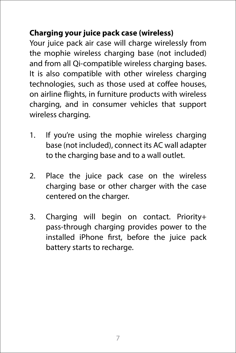#### **Charging your juice pack case (wireless)**

Your juice pack air case will charge wirelessly from the mophie wireless charging base (not included) and from all Qi-compatible wireless charging bases. It is also compatible with other wireless charging technologies, such as those used at coffee houses, on airline flights, in furniture products with wireless charging, and in consumer vehicles that support wireless charging.

- 1. If you're using the mophie wireless charging base (not included), connect its AC wall adapter to the charging base and to a wall outlet.
- 2. Place the juice pack case on the wireless charging base or other charger with the case centered on the charger.
- 3. Charging will begin on contact. Priority+ pass-through charging provides power to the installed iPhone first, before the juice pack battery starts to recharge.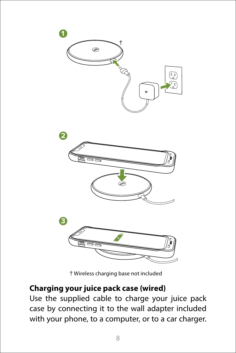

Wireless charging base not included

#### **Charging your juice pack case (wired)**

Use the supplied cable to charge your juice pack case by connecting it to the wall adapter included with your phone, to a computer, or to a car charger.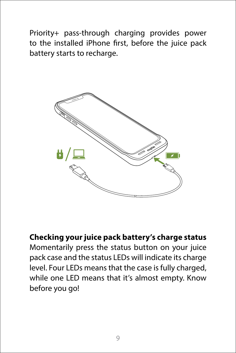Priority+ pass-through charging provides power to the installed iPhone first, before the juice pack battery starts to recharge.



**Checking your juice pack battery's charge status** Momentarily press the status button on your juice pack case and the status LEDs will indicate its charge level. Four LEDs means that the case is fully charged, while one LED means that it's almost empty. Know before you go!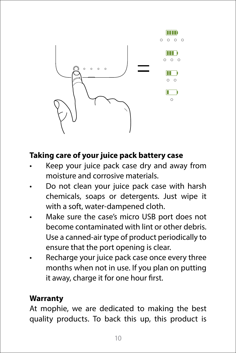

#### **Taking care of your juice pack battery case**

- Keep your juice pack case dry and away from moisture and corrosive materials.
- Do not clean your juice pack case with harsh chemicals, soaps or detergents. Just wipe it with a soft, water-dampened cloth.
- Make sure the case's micro USB port does not become contaminated with lint or other debris. Use a canned-air type of product periodically to ensure that the port opening is clear.
- Recharge your juice pack case once every three months when not in use. If you plan on putting it away, charge it for one hour first.

#### **Warranty**

At mophie, we are dedicated to making the best quality products. To back this up, this product is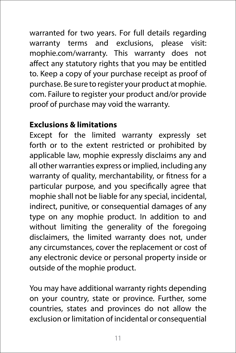warranted for two years. For full details regarding warranty terms and exclusions, please visit: mophie.com/warranty. This warranty does not affect any statutory rights that you may be entitled to. Keep a copy of your purchase receipt as proof of purchase. Be sure to register your product at mophie. com. Failure to register your product and/or provide proof of purchase may void the warranty.

#### **Exclusions & limitations**

Except for the limited warranty expressly set forth or to the extent restricted or prohibited by applicable law, mophie expressly disclaims any and all other warranties express or implied, including any warranty of quality, merchantability, or fitness for a particular purpose, and you specifically agree that mophie shall not be liable for any special, incidental, indirect, punitive, or consequential damages of any type on any mophie product. In addition to and without limiting the generality of the foregoing disclaimers, the limited warranty does not, under any circumstances, cover the replacement or cost of any electronic device or personal property inside or outside of the mophie product.

You may have additional warranty rights depending on your country, state or province. Further, some countries, states and provinces do not allow the exclusion or limitation of incidental or consequential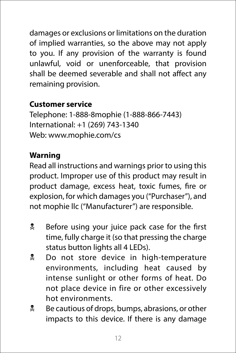damages or exclusions or limitations on the duration of implied warranties, so the above may not apply to you. If any provision of the warranty is found unlawful, void or unenforceable, that provision shall be deemed severable and shall not affect any remaining provision.

#### **Customer service**

Telephone: 1-888-8mophie (1-888-866-7443) International: +1 (269) 743-1340 Web: www.mophie.com/cs

#### **Warning**

Read all instructions and warnings prior to using this product. Improper use of this product may result in product damage, excess heat, toxic fumes, fire or explosion, for which damages you ("Purchaser"), and not mophie llc ("Manufacturer") are responsible.

- **EX** Before using your juice pack case for the first time, fully charge it (so that pressing the charge status button lights all 4 LEDs).
- **L** Do not store device in high-temperature environments, including heat caused by intense sunlight or other forms of heat. Do not place device in fire or other excessively hot environments.
- **E** Be cautious of drops, bumps, abrasions, or other impacts to this device. If there is any damage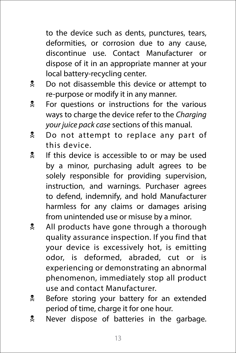to the device such as dents, punctures, tears, deformities, or corrosion due to any cause, discontinue use. Contact Manufacturer or dispose of it in an appropriate manner at your local battery-recycling center.

- **Let** Do not disassemble this device or attempt to re-purpose or modify it in any manner.
- **EX** For questions or instructions for the various ways to charge the device refer to the *Charging your juice pack case* sections of this manual.
- **Do not attempt to replace any part of** this device.
- If this device is accessible to or may be used by a minor, purchasing adult agrees to be solely responsible for providing supervision, instruction, and warnings. Purchaser agrees to defend, indemnify, and hold Manufacturer harmless for any claims or damages arising from unintended use or misuse by a minor.
- **All products have gone through a thorough** quality assurance inspection. If you find that your device is excessively hot, is emitting odor, is deformed, abraded, cut or is experiencing or demonstrating an abnormal phenomenon, immediately stop all product use and contact Manufacturer.
- **EX** Before storing your battery for an extended period of time, charge it for one hour.
- **R** Never dispose of batteries in the garbage.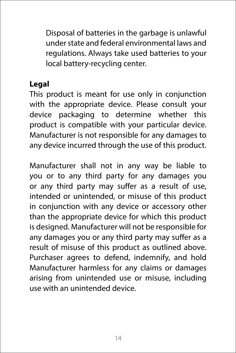Disposal of batteries in the garbage is unlawful under state and federal environmental laws and regulations. Always take used batteries to your local battery-recycling center.

#### **Legal**

This product is meant for use only in conjunction with the appropriate device. Please consult your device packaging to determine whether this product is compatible with your particular device. Manufacturer is not responsible for any damages to any device incurred through the use of this product.

Manufacturer shall not in any way be liable to you or to any third party for any damages you or any third party may suffer as a result of use, intended or unintended, or misuse of this product in conjunction with any device or accessory other than the appropriate device for which this product is designed. Manufacturer will not be responsible for any damages you or any third party may suffer as a result of misuse of this product as outlined above. Purchaser agrees to defend, indemnify, and hold Manufacturer harmless for any claims or damages arising from unintended use or misuse, including use with an unintended device.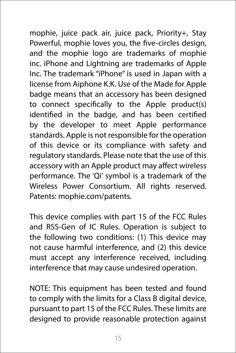mophie, juice pack air, juice pack, Priority+, Stay Powerful, mophie loves you, the five-circles design, and the mophie logo are trademarks of mophie inc. iPhone and Lightning are trademarks of Apple Inc. The trademark "iPhone" is used in Japan with a license from Aiphone K.K. Use of the Made for Apple badge means that an accessory has been designed to connect specifically to the Apple product(s) identified in the badge, and has been certified by the developer to meet Apple performance standards. Apple is not responsible for the operation of this device or its compliance with safety and regulatory standards. Please note that the use of this accessory with an Apple product may affect wireless performance. The 'Qi' symbol is a trademark of the Wireless Power Consortium. All rights reserved. Patents: mophie.com/patents.

This device complies with part 15 of the FCC Rules and RSS-Gen of IC Rules. Operation is subject to the following two conditions: (1) This device may not cause harmful interference, and (2) this device must accept any interference received, including interference that may cause undesired operation.

NOTE: This equipment has been tested and found to comply with the limits for a Class B digital device, pursuant to part 15 of the FCC Rules. These limits are designed to provide reasonable protection against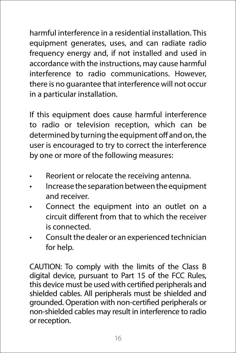harmful interference in a residential installation. This equipment generates, uses, and can radiate radio frequency energy and, if not installed and used in accordance with the instructions, may cause harmful interference to radio communications. However, there is no guarantee that interference will not occur in a particular installation.

If this equipment does cause harmful interference to radio or television reception, which can be determined by turning the equipment off and on, the user is encouraged to try to correct the interference by one or more of the following measures:

- Reorient or relocate the receiving antenna.
- Increase the separation between the equipment and receiver.
- Connect the equipment into an outlet on a circuit different from that to which the receiver is connected.
- Consult the dealer or an experienced technician for help.

CAUTION: To comply with the limits of the Class B digital device, pursuant to Part 15 of the FCC Rules, this device must be used with certified peripherals and shielded cables. All peripherals must be shielded and grounded. Operation with non-certified peripherals or non-shielded cables may result in interference to radio or reception.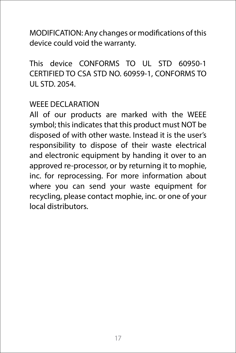MODIFICATION: Any changes or modifications of this device could void the warranty.

This device CONFORMS TO UL STD 60950-1 CERTIFIED TO CSA STD NO. 60959-1, CONFORMS TO UL STD. 2054.

#### WEEE DECLARATION

All of our products are marked with the WEEE symbol; this indicates that this product must NOT be disposed of with other waste. Instead it is the user's responsibility to dispose of their waste electrical and electronic equipment by handing it over to an approved re-processor, or by returning it to mophie, inc. for reprocessing. For more information about where you can send your waste equipment for recycling, please contact mophie, inc. or one of your local distributors.